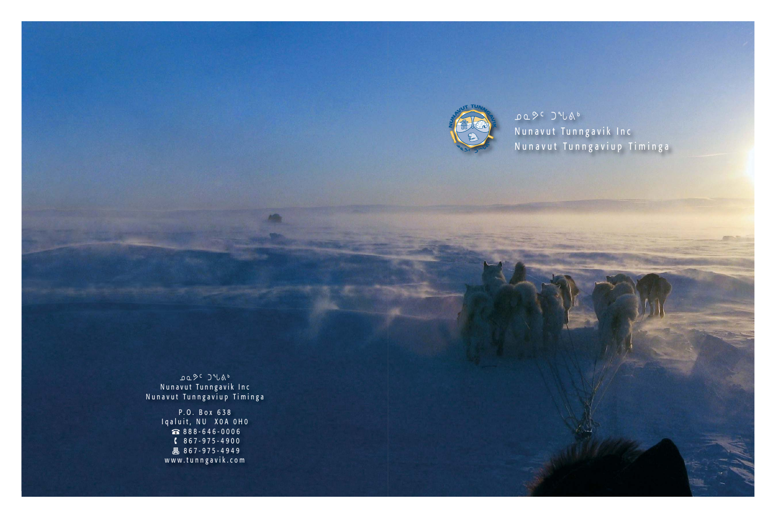

ᓄᓇᕗᑦ ᑐᖓᕕᒃ Nunavut Tunngavik Inc Nunavut Tunngaviup Timinga

ᓄᓇᕗᑦ ᑐᖓᕕᒃ Nunavut Tunngavik Inc Nunavut Tunngaviup Timinga

> P.O. Box 638 Iqaluit, NU X0A 0H0 888-646-0006  $867 - 975 - 4900$ 昌 867-975-4949 www.tunngavik.com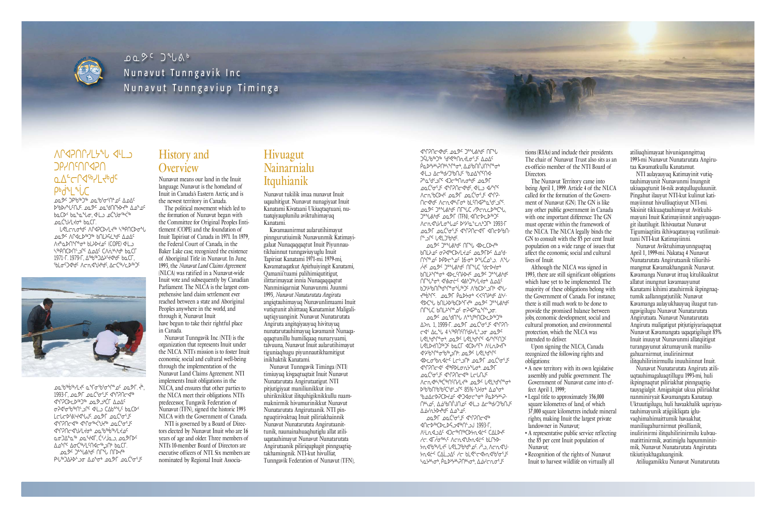Nunavut means our land in the Inuit language. Nunavut is the homeland of Inuit in Canada's Eastern Arctic, and is the newest territory in Canada.

The political movement which led to the formation of Nunavut began with the Committee for Original Peoples Entitlement (COPE) and the foundation of Inuit Tapirisat of Canada in 1971. In 1979, the Federal Court of Canada, in the Baker Lake case, recognized the existence of Aboriginal Title in Nunavut. In June, 1993, the *Nunavut Land Claims Agreement* (NLCA) was ratified in a Nunavut-wide Inuit vote and subsequently by Canadian Parliament. The NLCA is the largest comprehensive land claim settlement ever reached between a state and Aboriginal Peoples anywhere in the world, and through it, Nunavut Inuit have begun to take their rightful place in Canada.

#### ᐱᒋᐊᕈᑎᒋᓯᒪᔭᖓ ᐊᒻᒪᓗ ᑐᑭᓯᑎᑦᑎ ᒋᐊᕈᑎ **Q△←**←∩ **P**bd<sup>ª</sup>L<sup>ª</sup>LC

**LOL<sup>SC</sup> ጋ**ቦ<sup>ና</sup>ኮ<sup>ና</sup>ኮጋ<sup>ና</sup> ወቧ<sup>ና</sup>ኮና ጎቦች ልጋልና ᐅᖃᐅᓯᖓᑦᑎᒍᑦ. ᓄᓇᕗᑦ ᓄᓇᖁᑎᒋᔭᐅᔪᖅ ᐃᓄᖕᓄᑦ <del></del> Ხ௳՟Ხ௳՟՟՟՟՟՟՟՟՟՟՟՟՟՟՟՟՟՟՟՟՟՟՟՟՟՟՟՟՟՟՟ ᓄᓇᑖᖑᓯᒪᔪᓂᒃ ᑲᓇᑕᒥ.

 $\mathcal{L}$ ଟା ଦେ ውሳ<sup>ር</sup> ለቦረንር�� ‹‹የ ኣጭበር�� ৷ **" DQ& ∧Ր∢⊂D**®™ bՈLAS ¿⊌Q ∆DДС ∧לº ברישיף 1540 ל-150 (COPE) מ ᓴᖅᑭᑎᑕᐅᑎᓪᓗᒋᑦ ᐃᓄᐃᑦ ᑕᐱᕇᒃᓴᒃᑯᒃ ᑲᓇᑕᒥ 1971-Г. 1979-Г, Д<sup>сь</sup>ь<sup>сь</sup> ДДА<sup>с</sup>-Чарас ЬаСГ, SbLσΩ√dd Acn√Jdde Acn→



" 00°66'% 1 Responsive Catalogy Catalogy Catalogy Catalogy Catalogy Catalogy Catalogy Catalogy Catalogy Catalogy 1993-ᒥ, *ᓄᓇᕗᒥ ᓄᓇᑖᕐᓂᕐᒧᑦ ᐊᖏᕈᑎᓕᐊᖅ* **JPJPC** ᓂᕈᐊᕐᓂᖃᖅᑎᓪᓗᒋᑦ ᐊᒻᒪᓗ ᑕᐃᑲᓐᖓᑦ ᑲᓇᑕᐅᑉ LCLCPSA4VVV. 00PF 00C505JC **I I** م<del>ەن دەن كە<sup>مە</sup>رە بەر</del>ەھەت بەر <u></u>∆൧<sup>ᢌ</sup>Ր⊂∆σĊჼะץLϤՈ∢ϲჼ ൧൨<sup>൭൳</sup> ൧<sup>൳ൄ</sup>ഄഀഀഄ൞ൄ൞൳഻ഽഺൎഄഀ <u> </u> AU ANS CON ON A CHACHO

# History and **Overview**

Nunavut Tunngavik Inc. (NTI) is the organization that represents Inuit under the NLCA. NTI's mission is to foster Inuit economic, social and cultural well-being through the implementation of the Nunavut Land Claims Agreement. NTI implements Inuit obligations in the NLCA, and ensures that other parties to the NLCA meet their obligations. NTI's predecessor, Tungavik Federation of Nunavut (TFN), signed the historic 1993 NLCA with the Government of Canada.

NTI is governed by a Board of Directors elected by Nunavut Inuit who are 16 years of age and older. Three members of NTI's 10-member Board of Directors are executive officers of NTI. Six members are nominated by Regional Inuit Associa-

ᐊᖏᕈᑎᓕᐊᒃᑯᑦ. ᓄᓇᕗᑦ ᑐᓐᖓᕕᒃᑯᑦ ᑎᒥᖓ **JŚL**SbSDS SUSPENDRE ₽҇ҨϷϞϞϧͻϽͶϧʹϧʹϹϘͺϓϘͼϘͼ IL CHU°S AN CHU אב <sup>א</sup>יב ייבי ωΩĊ<sup>ҫ</sup>σ<sup>ε</sup>J<sup>c</sup> ∢ºՐʔՈ⊂≮odˤ. ∢Ľ⊇ ∢ץºՐ ∧⊂ሲ<sup>6</sup>Ⴆርኦל שפשר שפכ<sup>י</sup>פין ל״ף ∩G√dd JcC **LOL<sup>OC</sup> J<sup>an</sup>UAbd<sup>c</sup> NF<sup>4</sup>UC 10cnLD<sup>5b</sup>C<sup>n</sup>U,** <sup>Jes</sup>late DQ& (TFN), ANCACASE ∧⊂∩√V/Lo^ل0 >>> 2010 1993-ᓄᓇᕗᒥ ᓄᓇᑖᕐᓂᕐᒧᑦ ᐊᖏᕈᑎᓕᐊᕐᒥ ᐊᑎᓕᐅᖃᑎ - ∩⊂∩⊂∩∩⊆ ∪⊄

**JOL<sup>9</sup> € J<sup>an</sup>Uand** ∩Г<sup>n</sup>U ∢DCCD ᑲᑎᒪᔨᓄᑦ ᓂᕈᐊᖅᑕᐅᓯᒪᔪᓄᑦ ᓄᓇᕗᒥᐅᑦ ᐃᓄᖁ - ∩ºՐº 0º DPD⊂º 0º 16-0º DºJC 0º - ∧ºJ-"A C 2020 C 2º CAD C 10 C 10 C 10 C 10 C ₿ULYºՐªԺ ∢DCCUYDYC DQDC JaºLAbdc **∩**Г" " JP" JP" And C ᑲᑐᔾᔨᖃᑎᒌᒃᑯᖏᓐᓂᖔᖅᑐᑦ ᐱᖃᑕᐅᓪᓗᑎᒃ ᐊᖓ - <u> *deptions*</u> of Depthands <<<Ubparts *SPC+U bNLAPSDCP+L4HD DQPC Ja+LAHdC* ∩Гº LC 6∩Lרº רים סך אחיים ה **LOL<sup>2</sup>C LOL<sup>56</sup>JE OL** 

## Hivuagut Nainarnialu Itquhianik

Nunavut tukilik imaa nunavut Inuit uqauhitigut. Nunavut nunagiyaat Inuit Kanatami Kivataani Ukiuqtaqtuani, nutaatqiyauplunilu aviktuhimayuq Kanatami.

> <u>Δ</u>>η 1, 1999-Γ. **ΦΩ**ΣΓ **ΦΩ**Ć<sup>ς</sup>σ<sup>ε</sup>J<sup>ς</sup> <1°PA ᓕᐊᑉ ᐃᓚᖓ 4 ᓴᖅᑭᑎᑦᑎᖁᔨᓯᒪᓪᓗᓂ ᓄᓇᕗᑦ ᒐᕙᒪᒃᑯᖏᓐᓂᒃ. ᓄᓇᕗᑦ ᒐᕙᒪᒃᑯᖏᑦ ᐊᓯᖏᑦᑎᑐᑦ U<LD<n>⊌ beCL <D><r</b</> <u>JASU</u> JASU JASU JASU JASU Ico<sup>s</sup>br acc<sup>i</sup> and accide ᐊᖏᕈᑎᓕᐊᑉ ᐋᖅᑭᐅᒪᓂᕆᔭᖓᓂᒃ. ᓄᓇᕗᒥ ക '്രപ്<sup>പ</sup>ി' √°∩ിറ√് ∟്രപ്പം ∧⊂∩∢ √₩ אשירי ליירו ᐅᖃᖃᑎᖃᖃᑦᑕᖁᑉᓗᒋᑦ 85%-ᖑᔪᓂᒃ ᐃᓄᖕᓂᒃ <u>ა</u> აბპლბპლად ქოპურჯოგ. ∩ ∱⊿C. ∆¿Sh∩ऐJ∩ I III ⊿C <u></u> ᓄᓇᕗᒥ ᓄᓇᑖᕐᓂᕐᒧᑦ ᐊᖏᕈᑎᓕᐊᖅ

ᐊᑎᓕᐅᖅᑕ ᐅᓚᐅ ᕋᓗᐊᖅᑎᓪᓗᒍ 1993-ᒥ, ∧LLn<JG <JC <br />
CALD<< ረ፫. IF 2016 አCn A LP 2016 <del></del> ᔭᕆᐊᓖᑦ ᑕᐃᒫᓗᐃᑦ ᓱᓕ ᑲᒪᕙᓪᓕᐊᔭᕆᐊᖃᕐᓂᕐᒧᑦ ა საქასჯოს, ბასულება, ბამანის საქალილებს

tions (RIAs) and include their presidents. The chair of Nunavut Trust also sits as an ex-officio member of the NTI Board of **Directors** 

Kavamaunirmut aularutihimayut pinngurutiuimik Nunavunmik Katimayigalaat Nunaqaqqaqtut Inuit Piyunnautikhainnut tunngaviuyuglu Inuit Tapirisat Kanatami 1971-mi. 1979-mi, Kavamatuqatkut Apirhuiyingit Kanatami, Qamanii'tuami palihimiqutitigut, ilittarimayaat innia Nunaqaqqaqtut Nanminiqarniat Nunavunmi. Juunmi 1993, *Nunavut Nunatarutata Angiruta* angiqtauhimayuq Nunavunlimaami Inuit vutiqtunit ahiittauq Kanatamiut Maligaliuqtiqyuanginit. Nunavut Nunatarutata Angiruta angitqiyauyuq hivituyuq nunatarutauhimayuq kavamanit Nunaqa q qaqtunillu humiliqaaq nunaryuami, talvuuna, Nunavut Inuit aularutihimayut tiguniaqhugu piyunnautikhamitigut inikhaktik Kanatami.

> • Legal title to approximately 356,000 square kilometres of land, of which 37,000 square kilometres include mineral rights, making Inuit the largest private

Nunavut Tunngavik Timinga (NTI) timiuyuq kivgaqtuqtait Inuit Nunavut Nunatarutata Angirutaatigut. NTI pitjutigiyaat maniliunikkut inuuhiriknikkut ilitquhigiknikkullu naammaknirmik hivumurinikkut Nunavut Nunatarutata Angirutaanik. NTI pinnguqtirivaktuq Inuit piliriakhainnik Nunavut Nunatarutata Angirutaanittunik, naunainahuaqhutiglu allat atiliuqatauhimayut Nunavut Nunatarutata Angirutaanik piliriquplugit pinnguqtiqtakhamingnik. NTI-kut hivulliat, Tunngavik Federation of Nunavut (TFN),

The Nunavut Territory came into being April 1, 1999. Article 4 of the NLCA called for the formation of the Government of Nunavut (GN). The GN is like any other public government in Canada with one important difference: The GN must operate within the framework of the NLCA. The NLCA legally binds the GN to consult with the  $\overline{85}$  per cent Inuit population on a wide range of issues that affect the economic, social and cultural lives of Inuit.

Although the NLCA was signed in 1993, there are still significant obligations which have yet to be implemented. The majority of these obligations belong with the Government of Canada. For instance, there is still much work to be done to provide the promised balance between jobs, economic development, social and cultural promotion, and environmental protection, which the NLCA was intended to deliver. Upon signing the NLCA, Canada recognized the following rights and

obligations:

• A new territory with its own legislative assembly and public government. The Government of Nunavut came into ef-

- fect April 1, 1999;
- landowner in Nunavut;
- Nunavut;
- 



• A representative public service reflecting the 85 per cent Inuit population of

• Recognition of the rights of Nunavut Inuit to harvest wildlife on virtually all atiliuqhimayaat hivuniqanngittuq 1993-mi Nunavut Nunatarutata Angirutaa Kavamatkullu Kanatamut.

NTI aulayauyuq Katimayinit vutiqtauhimayunit Nunavunmi Inungnit ukiuqaqtunit 16-nik avatqulluguluuniit. Pingahut ilauyut NTI-kut kulinut katimayiinnut hivulliuqtiuyut NTI-mi. Siksinit tikkuaqtauhimayut Avitkuhimayuni Inuit Katimayiinnit angiyuqqangit ilautilugit. Ikhivautaat Nunavut Tigumiaqtiita ikhivaqatauyuq vutilimaittuni NTI-kut Katimayiinni.

Nunavut Aviktuhimayunnguqtuq April 1, 1999-mi. Nakataq 4 Nunavut Nunatarutata Angirutaanik tiliurihimangmat Kavamakhanganik Nunavut. Kavamanga Nunavut ittuq kitulikaaktut allatut inungnut kavamauyunut Kanatami kihimi atauhirmik ikpingnaqtumik aallanngatjutilik: Nunavut Kavamanga aulayukhauyuq iluagut tunngavigilugu Nunavut Nunatarutata Angirutaata. Nunavut Nunatarutata Angiruta maligatigut pitjutigiyariaqaqtaat Nunavut Kavamangata uqaqatigilugit 85% Inuit inuuyut Nunavunmi allatqiitigut turangayunut aktumayunik maniliugahuarnirmut, inulirinirmut ilitquhilirinirmullu inuuhiinnut Inuit.

Nunavut Nunatarutata Angiruta atiliuqtauhimagaluaqtillugu 1993-mi, huli ikpingnaqtut piliriakhat pinnguqtiqtauyagialgit. Amigaitqiat ukua piliriakhat nanminiryait Kavamangata Kanataup. Uktuutigilugu, huli havaakhalik uqariyautauhimayunik atjigiikliqata igluvaqhimahimaittumik havaakhat, maniliugahurnirmut pivallianik, inulirinirmi ilitquhilirinirmilu kulvaumatittinirmik, avatimiglu hapumminirmik, Nunavut Nunatarutata Angirutata tikiutiyakhagaluanginik.

Atiliugamikku Nunavut Nunatarutata



ᓄᓇᕗᑦ ᑐᖓᕕᒃ Nunavut Tunngavik Inc Nunavut Tunngaviup Timinga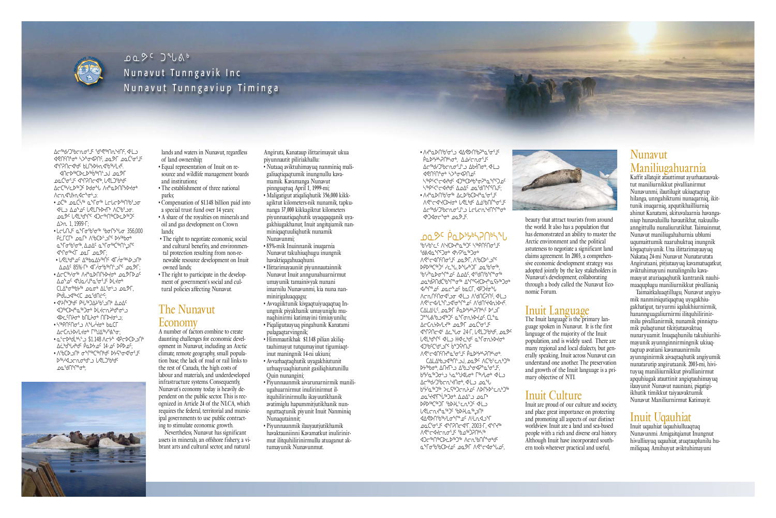lands and waters in Nunavut, regardless of land ownership;

- Equal representation of Inuit on resource and wildlife management boards and institutions;
- The establishment of three national parks;
- Compensation of \$1.148 billion paid into a special trust fund over 14 years;
- A share of the royalties on minerals and oil and gas development on Crown lands;
- The right to negotiate economic, social and cultural benefits, and environmental protection resulting from non-renewable resource development on Inuit owned lands;
- The right to participate in the development of government's social and cultural policies affecting Nunavut.

# The Nunavut Economy

ᐃᓕᖅᑯᓯᑐᖃᓕᕆᓂᕐᒧᑦ ᖁᕐᕙᖅᑎᕆᔾᔪᑎᑦ, ᐊᒻᒪᓗ ᐊᕙᑎᑦᑎᓐᓂᒃ ᓴᐳᓐᓂᐊᕈᑎᑦ, ᓄᓇᕗᒥ ᓄᓇᑖᕐᓂᕐᒧᑦ **IPOCIO**<br />
SILOWER<br />
SILOWER<br />
TOPOCIOUS<br />
TOPOCIOUS<br />
TOPOCIOUS<br />
TOPOCIOUS<br />
TOPOCIOUS<br />
TOPOCIOUS<br />
TOPOCIOUS<br />
TOPOCIOUS<br />
TOPOCIOUS<br />
TOPOCIOUS<br />
TOPOCIOUS<br />
TOP

> A number of factors combine to create daunting challenges for economic development in Nunavut, including an Arctic climate, remote geography, small population base, the lack of road or rail links to the rest of Canada, the high costs of labour and materials, and underdeveloped infrastructure systems. Consequently, Nunavut's economy today is heavily dependent on the public sector. This is recognized in Article 24 of the NLCA, which requires the federal, territorial and municipal governments to use public contracting to stimulate economic growth.

> Nevertheless, Nunavut has significant assets in minerals, an offshore fishery, a vibrant arts and cultural sector, and natural

ᐊᑎᓕᐅᖅᑕᐅᓚᐅᖅᑳᖅᑎᓪᓗᒍ ᓄᓇᕗᒥ ᓄᓇᑖᕐᓂᕐᒧᑦ ᐊᖏᕈᑎᓕᐊᖅ, ᒐᕙᒪᑐᖃᒃᑯᑦ  $\Delta$ C<sup>Sb</sup>YCDSbJC Ddo<sup>s</sup>u *NdeaDNCbdob* ᐱᓕᕆᐊᖑᔭᕆᐊᓕᖕᓂᒡᓗ:

- "QĊ<sup>ś </sup> QQĆ<sup>ŻĠ</sup> Q<sup>Q</sup>TơŚ LCbCDŚ NG IL O ∆A°⊾G U STLPA ACSP'O ᓄᓇᕗᑦ ᒐᕙᒪᒃᑯᖏᑦ ᐊᑐᓕᖅᑎᖅᑕᐅᓚᐅᖅᑐᑦ  $\Delta$  $\lambda$  1, 1999- $\Gamma$ ;
- LCLNJ Q º L TO º º º 0 º 0 º 0 º 0 º 0 º 0 º 0 º 10 º 10 º 356,000 PCLCL DOLP VipCDC) DA BARDO <u></u> ႭჼႺσჼϸჼσჼჼ, ΔΩΔς ႭჼႺσჼϸϹჼϸϹ ᐊᖏᓂᖅᐹᒥ ᓄᓇᒥ ᓄᓇᕗᒥ; • LRLbdaDc Veppoverby <LLpdaDc ᐃᓄᐃᑦ 85%-ᒥᒃ ᐊᒥᓲᓂᖃᖅᑎᓪᓗᒋᑦ ᓄᓇᕗᒥ;
- ∆⊂⊂º•Yơ º ∧⊀ºఒ▷∩Րሃᢧ⊀ơ , ம2) D° ∆ *ك*ړ م° √ او ∕ا∕ ∕ا∕ ∕ا ᑕᒪᐃᓐᓂᖅᑲᔭᖅ ᓄᓇᓂᒃ ᐃᒪᕐᓂᒡᓗ ᓄᓇᕗᒥ, ᑭᒃᑰᒐᓗᐊᖅᐸᑕ ᓄᓇᖁᑎᓖᑦ;
- ∢≯√`פ∆ ∙√ ∕اכ <sup>6</sup>ט∆4לי∛ ∙ ᐊᑐᖅᑕᐅᔪᓐᓇᖅᑐᓂᒃ ᐆᒪᔪᓕᕆᔨᒃᑯᓐᓂᒡᓗ ⊲>⊂M}⊄ b∩L}⊄ ∩Г>√⊄∙⊇:
- \™P\Mqdvdo **Δ**⊂Ωולאיךלס ריטביקאייס:
- a-chadians \$1.148 Acta <br />
<br />
<br />
<br />
<br />
<br />
<br />
<br /><br /><br /><br /><br /><br /><br /><br /><br /><br /><br /><br /><br /><br /><br /><br /><br /><br /><br /><br /><br /><br /><br /><br /><br ᐃᓛᒃᑰᖓᔪᒃᑯᑦ ᑮᓇᐅᔭᓄᑦ 14-ᓄᑦ ᐅᑭᐅᓄᑦ;
- *∧*'6CD)∩ ๑°ๅº ๑°ๅº ๑'ๅ ใ๑๔ DУ S° ๑ ≫™av⊃cDro-by Jabro ᠘᠐ᡗ᠂᠕᠕᠃ᡁ᠖



• ᐱᔪᓐᓇᐅᑎᖃᕐᓂᕐᓗ ᐊᐃᕙᐅᑎᖃᕈᓐᓇᕐᓂᕐᒧᑦ ₿ႭϷ<sup>ϧ</sup>ϧϞϡϽϺϧϞͼͺϪͽϟϲͷϭ·Ϳͼ  $\Delta$ an an Cholocho and Cholocho A ᐊᕙᑎᑦᑎᓐᓂᒃ ᓴᐳᓐᓂᐊᕈᑎᓄᑦ ᓴᖅᑭᑉᐸᓪᓕᐊᔪᒃᑯᑦ ᐊᑐᖅᑕᐅᒃᑲᓐᓂᕈᓐᓇᖏᑦᑐᓄᑦ SES WAL OF OU SALL AND CHANG

• ∧तº DU SP & CD SP CD CP CP CP <u></u> ∆⊂<sup>ק</sup>ל∩״מי ᐊᒃᑐᐊᓂᓕᖕᓂᒃ ᓄᓇᕗᒧᑦ.

## <u></u> JO 2 º PODY SHANN

**SU S** ᐱᕙᓪᓕᐊᑎᑦᑎᓂᕐᒧᑦ ᓄᓇᕗᒥ, ᐱᖃᑕᐅᓪᓗᒋᑦ ᐅᑭᐅᖅᑕᖅᑑᑉ ᓯᓚᖓ, ᐅᖓᓯᒃᑐᒥ ᓄᓇᖃᕐᓂᖅ, <u>SAS in the proposition of</u> "<del>مه ان بان الطرفان الشهر من المجمور الكوار</del> **INAP OF DOCADE DOCT, PAPTOMIC** ∧⊂∩∩™G שכ"ף Arch∩ <u></u> CALALLE, DQ & PODYSING ᑐᓐᖓᕕᖃᓗᐊᖅᑐᑦ ᓇᖕᒥᓂᕆᔭᐅᔪᓄᑦ. ᑕᒪᓐᓇ ACCNSPL OQSE OQCSOSIC ᐊᖏᕈᑎᓕᐊᑉ ᐃᓚᖓᓂ 24-ᒥ, ᒐᕙᒪᑐᖃᒃᑯᑦ, ᓄᓇᕗᑦ **U** SL DAL ON THE SHOW OF THE WALL ᐊᑐᖃᑦᑕᖁᑉᓗᒋᑦ ᑳᓐᑐᕌᒃᑎᒍᑦ ∧ኆ፦⊲∩ኆº∟º ផ้ฉD ᑕᐃᒪᐃᒃᑲᓗᐊᖅᑎᓪᓗᒍ, ᓄᓇᕗᑦ ᐱᑕᖃᓪᓚᕆᒃᑐᖅ ≫Game Changer LAN Changer Changer ᑲᔾ`ᔭᕐᓇᖅᑐᓂᒡᓗ ᓴᓇᓐᖑᐊᒐᓂᒃ ᒥᖅᓱᒐᓂᒃ ᐊᒻᒪᓗ

Angiruta, Kanataup ilittarimayait ukua piyunnautit piliriakhallu:

> ∆⊂<sup>⊕</sup>dt Chrydoton all Chr Ⴆ<sup>ϧ</sup>ϞჼႭჼႦჂჼჾ ჂႠϚჼჼჂႠჀትჂ<sup>ჿ</sup> ለϷՐ<del>ሃ</del>ϷჼႠჀჼჂჼჼ ᓄᓇᕐᔪᐊᕐᒥᖔᖅᑐᓂᒃ. ᐃᓄᐃᓪᓗ ᓄᓇᒥᒃ ᐅᑭᐅᖅᑕᖅᑐᒥ ᖃᐅᔨᒪᓪᓚᕆᒃᑐᑦ ᐊᒻᒪᓗ <u>ړ</u> **IARD∩**'6°∨∟G®∩°LO ᓄᓇᑖᕐᓂᕐᒧᑦ ᐊᖏᕈᑎᓕᐊᕐᒥ. 2003-ᒥ, ᐊᖏᔪᖅ <u>"</u><br>∧לכבללכטים, נאסי **IO** ᓇᖕᒥᓂᖃᖃᑕᐅᔪᓄᑦ ᓄᓇᕗᒥ ᐱᕙᓪᓕᐊᓂᖓᓄᑦ,



- Nutaaq aviktuhimayuq nanminiq maligaliuqtiqaqtumik inungnullu kavamamik. Kavamanga Nunavut pinnguqtuq April 1, 1999-mi;
- Maligatigut atiqaliqhutik 356,000 kikkagiktut kilometers-nik nunamik, tapkunanga 37,000 kikkagiktut kilometers piyunnautiqaqhutik uyaqqaqqanik uyagakhiugakhanut, Inuit angitqiamik nanminiqaqtuuliqhutik nunamik Nunavunmi;
- 85%-mik Inuinnanik inuqarnia Nunavut takuhiuqhugu inungnik havaktiqagahuaqhuni.
- Ilittarimayauniit piyunnautainnik Nunavut Inuit anngunahuarnirmut umayunik tamainivyak nunani imarnilu Nunavunmi, kia nuna nanminirigaluaqqagu;
- Avvagiiktunik kivgaqtuiyuqaqtuq Inungnik piyakhanik umayuniglu munaqhinirmi katimayini timiuyunilu;
- Piqaligutauyuq pingahunik Kanatami pulagaqtarvingnik;
- Himmautikhak \$1.148 pilian akiliqtauhimayut tutqumayinut tigumiaqtinut maningnik 14-ni ukiuni;
- Avvarhaqtaqhutik uyagakhiutunit urhuqyuaqhiutunit gasiliqhiutunillu Quin nunangini;
- Piyunnaunmik aivarunarnirmik maniliugahuarnirmut inulirinirmut ilitquhilirinirmullu ikayuutikhanik avatimiglu hapummitjutikhanik nunnguttaqtunik piyunit Inuit Nanminiq Nunaqutainnit:
- Piyunnaunmik ilauyautjutikhamik havaktauniinni Kavamatkut inulirinirmut ilitquhilirinirmullu atuaganut aktumayunik Nunavunmut.

Inuit uqauhiat uqauhiulluaqtuq Nunavunmi. Amigaitqianut Inungnut hivulliuyuq uqauhiat, atuqtauplunilu humiliqaaq. Amihuyut aviktuhimayuni

beauty that attract tourists from around the world. It also has a population that has demonstrated an ability to master the Arctic environment and the political astuteness to negotiate a significant land claims agreement. In 2003, a comprehensive economic development strategy was adopted jointly by the key stakeholders in Nunavut's development, collaborating through a body called the Nunavut Economic Forum.

## Inuit Language

The Inuit language is the primary language spoken in Nunavut. It is the first language of the majority of the Inuit population, and is widely used. There are many regional and local dialects, but generally speaking, Inuit across Nunavut can understand one another. The preservation and growth of the Inuit language is a primary objective of NTI.

# Inuit Culture

Inuit are proud of our culture and society, and place great importance on protecting and promoting all aspects of our distinct worldview. Inuit are a land and sea-based people with a rich and diverse oral history. Although Inuit have incorporated southern tools wherever practical and useful,



#### Nunavut Maniliugahuarnia

Kaffit allatqiit atauttimut ayurhautauvaktut maniliurnikkut pivallianirmut Nunavunmi, ilautilugit ukiuqtaqtup hilanga, unngahiktumi nunaqarniq, ikittunik inuqarniq, apqutikhailliurniq ahinut Kanatami, akituvalaarnia havanganiup hunavaluillu havautikhat, nakuulluanngittullu nunaliurutikhat. Taimainmat, Nunavut maniliugahahurnia ublumi uqumaittumik naaruhuktuq inungnik kivgaqtuiyunik. Una ilittarimayauyuq Nakataq 24-mi Nunavut Nunatarutata Angirutaani, pitjutauyuq kavamatuqatkut, aviktuhimayuni nunalingnilu kavamauyut aturiaqaqhutik kantranik nauhimaaquplugu maniliurnikkut pivallianiq.

Taimaitkaluaqtillugu, Nunavut angiyumik nanminiqutiqaqtuq uyagakhiugakhatigut, taryurmi iqalukhiurnirmik, hanannguagaliurnirmi ilitquhilirinirmilu pivallianirmik, nunamik pinniqtumik pulaqtunut tikitjutauvaktuq nunaryuamit. Inuqaqhunilu takuhiurihimayunik ayunnginnirmingnik ukiuqtaqtup avatiani kavamaunirmilu ayunnginirmik aivaqtaqhutik angiyumik nunatarutip angirutaanik. 2003-mi, hivituyuq maniliiurnikkut pivallianirmut apquhiugak atauttinit angiqtauhimayuq ilauyunit Nunavut nauniani, piqatigiikhutik timikkut taiyauvaktumik Nunavut Maniliurnirmut Katimayit.

## Inuit Uqauhiat



# ᓄᓇᕗᑦ ᑐᖓᕕᒃ Nunavut Tunngavik Inc Nunavut Tunngaviup Timinga